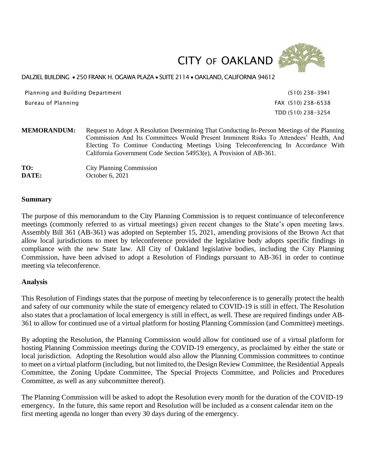



#### DALZIEL BUILDING • 250 FRANK H. OGAWA PLAZA • SUITE 2114 • OAKLAND, CALIFORNIA 94612

Planning and Building Department (510) 238-3941 Bureau of Planning FAX (510) 238-6538

TDD (510) 238-3254

**MEMORANDUM:** Request to Adopt A Resolution Determining That Conducting In-Person Meetings of the Planning Commission And Its Committees Would Present Imminent Risks To Attendees' Health, And Electing To Continue Conducting Meetings Using Teleconferencing In Accordance With California Government Code Section 54953(e), A Provision of AB-361.

**TO:** City Planning Commission **DATE:** October 6, 2021

#### **Summary**

The purpose of this memorandum to the City Planning Commission is to request continuance of teleconference meetings (commonly referred to as virtual meetings) given recent changes to the State's open meeting laws. Assembly Bill 361 (AB-361) was adopted on September 15, 2021, amending provisions of the Brown Act that allow local jurisdictions to meet by teleconference provided the legislative body adopts specific findings in compliance with the new State law. All City of Oakland legislative bodies, including the City Planning Commission, have been advised to adopt a Resolution of Findings pursuant to AB-361 in order to continue meeting via teleconference.

#### **Analysis**

This Resolution of Findings states that the purpose of meeting by teleconference is to generally protect the health and safety of our community while the state of emergency related to COVID-19 is still in effect. The Resolution also states that a proclamation of local emergency is still in effect, as well. These are required findings under AB-361 to allow for continued use of a virtual platform for hosting Planning Commission (and Committee) meetings.

By adopting the Resolution, the Planning Commission would allow for continued use of a virtual platform for hosting Planning Commission meetings during the COVID-19 emergency, as proclaimed by either the state or local jurisdiction. Adopting the Resolution would also allow the Planning Commission committees to continue to meet on a virtual platform (including, but not limited to, the Design Review Committee, the Residential Appeals Committee, the Zoning Update Committee, The Special Projects Committee, and Policies and Procedures Committee, as well as any subcommittee thereof).

The Planning Commission will be asked to adopt the Resolution every month for the duration of the COVID-19 emergency. In the future, this same report and Resolution will be included as a consent calendar item on the first meeting agenda no longer than every 30 days during of the emergency.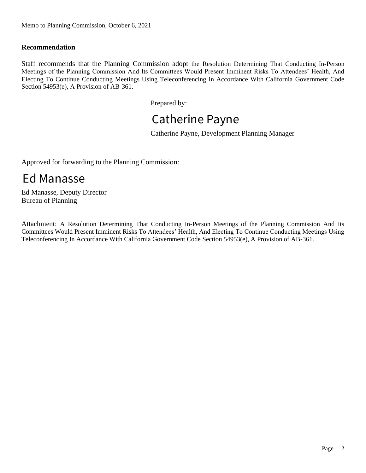### **Recommendation**

Staff recommends that the Planning Commission adopt the Resolution Determining That Conducting In-Person Meetings of the Planning Commission And Its Committees Would Present Imminent Risks To Attendees' Health, And Electing To Continue Conducting Meetings Using Teleconferencing In Accordance With California Government Code Section 54953(e), A Provision of AB-361.

Prepared by:

# Catherine Payne

Catherine Payne, Development Planning Manager

Approved for forwarding to the Planning Commission:

## \_\_\_\_\_\_\_\_\_\_\_\_\_\_\_\_\_\_\_\_\_\_\_\_\_\_\_\_\_\_\_\_\_\_\_\_ Ed Manasse

Ed Manasse, Deputy Director Bureau of Planning

Attachment: A Resolution Determining That Conducting In-Person Meetings of the Planning Commission And Its Committees Would Present Imminent Risks To Attendees' Health, And Electing To Continue Conducting Meetings Using Teleconferencing In Accordance With California Government Code Section 54953(e), A Provision of AB-361.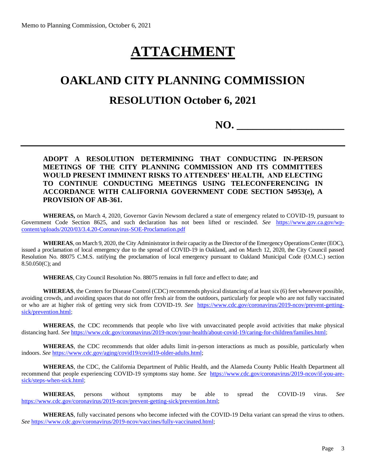# **ATTACHMENT**

### **OAKLAND CITY PLANNING COMMISSION**

### **RESOLUTION October 6, 2021**

**NO. \_\_\_\_\_\_\_\_\_\_\_\_\_\_\_\_\_\_\_\_** 

### **ADOPT A RESOLUTION DETERMINING THAT CONDUCTING IN-PERSON MEETINGS OF THE CITY PLANNING COMMISSION AND ITS COMMITTEES WOULD PRESENT IMMINENT RISKS TO ATTENDEES' HEALTH, AND ELECTING TO CONTINUE CONDUCTING MEETINGS USING TELECONFERENCING IN ACCORDANCE WITH CALIFORNIA GOVERNMENT CODE SECTION 54953(e), A PROVISION OF AB-361.**

**WHEREAS,** on March 4, 2020, Governor Gavin Newsom declared a state of emergency related to COVID-19, pursuant to Government Code Section 8625, and such declaration has not been lifted or rescinded. *See* [https://www.gov.ca.gov/wp](https://www.gov.ca.gov/wp-content/uploads/2020/03/3.4.20-Coronavirus-SOE-Proclamation.pdf)[content/uploads/2020/03/3.4.20-Coronavirus-SOE-Proclamation.pdf](https://www.gov.ca.gov/wp-content/uploads/2020/03/3.4.20-Coronavirus-SOE-Proclamation.pdf)

**WHEREAS**, on March 9, 2020, the City Administrator in their capacity as the Director of the Emergency Operations Center (EOC), issued a proclamation of local emergency due to the spread of COVID-19 in Oakland, and on March 12, 2020, the City Council passed Resolution No. 88075 C.M.S. ratifying the proclamation of local emergency pursuant to Oakland Municipal Code (O.M.C.) section 8.50.050(C); and

**WHEREAS**, City Council Resolution No. 88075 remains in full force and effect to date; and

**WHEREAS**, the Centers for Disease Control (CDC) recommends physical distancing of at least six (6) feet whenever possible, avoiding crowds, and avoiding spaces that do not offer fresh air from the outdoors, particularly for people who are not fully vaccinated or who are at higher risk of getting very sick from COVID-19. *See* [https://www.cdc.gov/coronavirus/2019-ncov/prevent-getting](https://www.cdc.gov/coronavirus/2019-ncov/prevent-getting-sick/prevention.html)[sick/prevention.html;](https://www.cdc.gov/coronavirus/2019-ncov/prevent-getting-sick/prevention.html)

**WHEREAS**, the CDC recommends that people who live with unvaccinated people avoid activities that make physical distancing hard. *See* [https://www.cdc.gov/coronavirus/2019-ncov/your-health/about-covid-19/caring-for-children/families.html;](https://www.cdc.gov/coronavirus/2019-ncov/your-health/about-covid-19/caring-for-children/families.html)

**WHEREAS**, the CDC recommends that older adults limit in-person interactions as much as possible, particularly when indoors. *See* [https://www.cdc.gov/aging/covid19/covid19-older-adults.html;](https://www.cdc.gov/aging/covid19/covid19-older-adults.html)

**WHEREAS**, the CDC, the California Department of Public Health, and the Alameda County Public Health Department all recommend that people experiencing COVID-19 symptoms stay home. *See* [https://www.cdc.gov/coronavirus/2019-ncov/if-you-are](https://www.cdc.gov/coronavirus/2019-ncov/if-you-are-sick/steps-when-sick.html)[sick/steps-when-sick.html;](https://www.cdc.gov/coronavirus/2019-ncov/if-you-are-sick/steps-when-sick.html)

**WHEREAS**, persons without symptoms may be able to spread the COVID-19 virus. *See*  [https://www.cdc.gov/coronavirus/2019-ncov/prevent-getting-sick/prevention.html;](https://www.cdc.gov/coronavirus/2019-ncov/prevent-getting-sick/prevention.html)

**WHEREAS**, fully vaccinated persons who become infected with the COVID-19 Delta variant can spread the virus to others. *See* [https://www.cdc.gov/coronavirus/2019-ncov/vaccines/fully-vaccinated.html;](https://www.cdc.gov/coronavirus/2019-ncov/vaccines/fully-vaccinated.html)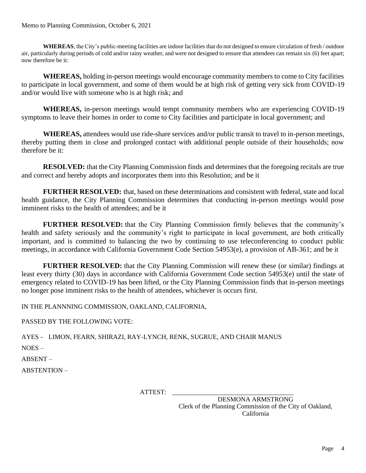WHEREAS, the City's public-meeting facilities are indoor facilities that do not designed to ensure circulation of fresh / outdoor air, particularly during periods of cold and/or rainy weather, and were not designed to ensure that attendees can remain six (6) feet apart; now therefore be it:

**WHEREAS,** holding in-person meetings would encourage community members to come to City facilities to participate in local government, and some of them would be at high risk of getting very sick from COVID-19 and/or would live with someone who is at high risk; and

**WHEREAS,** in-person meetings would tempt community members who are experiencing COVID-19 symptoms to leave their homes in order to come to City facilities and participate in local government; and

**WHEREAS,** attendees would use ride-share services and/or public transit to travel to in-person meetings, thereby putting them in close and prolonged contact with additional people outside of their households; now therefore be it:

**RESOLVED:** that the City Planning Commission finds and determines that the foregoing recitals are true and correct and hereby adopts and incorporates them into this Resolution; and be it

**FURTHER RESOLVED:** that, based on these determinations and consistent with federal, state and local health guidance, the City Planning Commission determines that conducting in-person meetings would pose imminent risks to the health of attendees; and be it

**FURTHER RESOLVED:** that the City Planning Commission firmly believes that the community's health and safety seriously and the community's right to participate in local government, are both critically important, and is committed to balancing the two by continuing to use teleconferencing to conduct public meetings, in accordance with California Government Code Section 54953(e), a provision of AB-361; and be it

**FURTHER RESOLVED:** that the City Planning Commission will renew these (or similar) findings at least every thirty (30) days in accordance with California Government Code section 54953(e) until the state of emergency related to COVID-19 has been lifted, or the City Planning Commission finds that in-person meetings no longer pose imminent risks to the health of attendees, whichever is occurs first.

IN THE PLANNNING COMMISSION, OAKLAND, CALIFORNIA,

PASSED BY THE FOLLOWING VOTE:

AYES - LIMON, FEARN, SHIRAZI, RAY-LYNCH, RENK, SUGRUE, AND CHAIR MANUS

NOES –

ABSENT –

ABSTENTION –

ATTEST:

DESMONA ARMSTRONG Clerk of the Planning Commission of the City of Oakland, California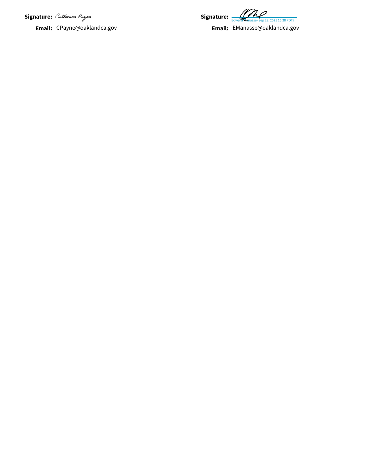**Signature:**

**Email:** CPayne@oaklandca.gov

**Signature:**  $\frac{1}{\text{Edward Meanasse (Sep 28, 2021 15:38 PDT)}}$ 

**Email:** EManasse@oaklandca.gov